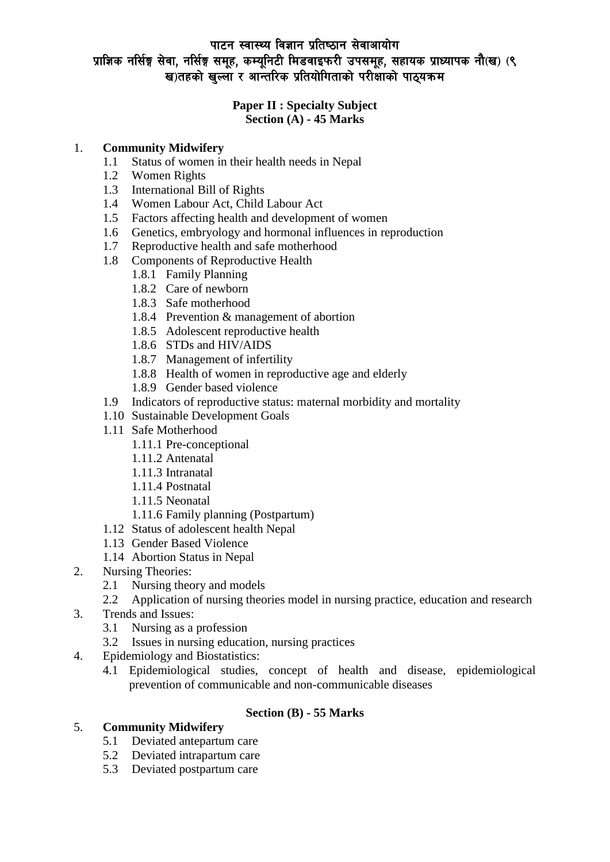## पाटन स्वास्थ्य विज्ञान प्रतिष्ठान सेवाआयोग प्राज्ञिक नर्सिङ्ग सेवा, नर्सिङ्ग समूह, कम्यूनिटी मिडवाइफरी उपसमूह, सहायक प्राध्यापक नौ(ख) (९ ख)तहको खल्ला र आन्तरिक प्रतियोगिताको परीक्षाको पाठयक्रम

#### **Paper II : Specialty Subject Section (A) - 45 Marks**

### 1. **Community Midwifery**

- 1.1 Status of women in their health needs in Nepal
- 1.2 Women Rights
- 1.3 International Bill of Rights
- 1.4 Women Labour Act, Child Labour Act
- 1.5 Factors affecting health and development of women
- 1.6 Genetics, embryology and hormonal influences in reproduction
- 1.7 Reproductive health and safe motherhood
- 1.8 Components of Reproductive Health
	- 1.8.1 Family Planning
	- 1.8.2 Care of newborn
	- 1.8.3 Safe motherhood
	- 1.8.4 Prevention & management of abortion
	- 1.8.5 Adolescent reproductive health
	- 1.8.6 STDs and HIV/AIDS
	- 1.8.7 Management of infertility
	- 1.8.8 Health of women in reproductive age and elderly
	- 1.8.9 Gender based violence
- 1.9 Indicators of reproductive status: maternal morbidity and mortality
- 1.10 Sustainable Development Goals
- 1.11 Safe Motherhood
	- 1.11.1 Pre-conceptional
	- 1.11.2 Antenatal
	- 1.11.3 Intranatal
	- 1.11.4 Postnatal
	- 1.11.5 Neonatal
	- 1.11.6 Family planning (Postpartum)
- 1.12 Status of adolescent health Nepal
- 1.13 Gender Based Violence
- 1.14 Abortion Status in Nepal
- 2. Nursing Theories:
	- 2.1 Nursing theory and models
	- 2.2 Application of nursing theories model in nursing practice, education and research
- 3. Trends and Issues:
	- 3.1 Nursing as a profession
	- 3.2 Issues in nursing education, nursing practices
- 4. Epidemiology and Biostatistics:
	- 4.1 Epidemiological studies, concept of health and disease, epidemiological prevention of communicable and non-communicable diseases

### **Section (B) - 55 Marks**

### 5. **Community Midwifery**

- 5.1 Deviated antepartum care
- 5.2 Deviated intrapartum care
- 5.3 Deviated postpartum care